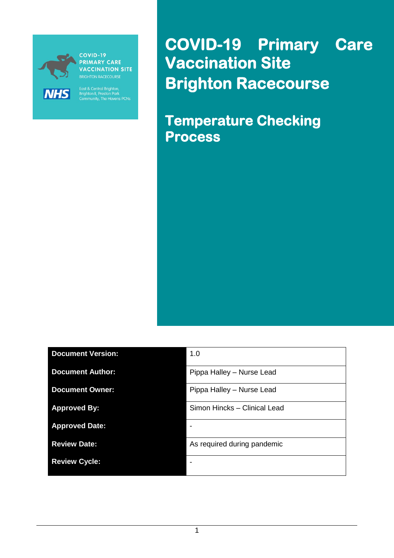

**PRIMARY CARE VACCINATION SITE** 

East & Central Brighton,<br>Brighton II, Preston Park<br>Community, The Havens PCNs

**COVID-19 Primary Care Vaccination Site Brighton Racecourse** 

**Temperature Checking Process**

| <b>Document Version:</b> | 1.0                          |
|--------------------------|------------------------------|
| <b>Document Author:</b>  | Pippa Halley - Nurse Lead    |
| <b>Document Owner:</b>   | Pippa Halley - Nurse Lead    |
| <b>Approved By:</b>      | Simon Hincks - Clinical Lead |
| <b>Approved Date:</b>    |                              |
| <b>Review Date:</b>      | As required during pandemic  |
| <b>Review Cycle:</b>     |                              |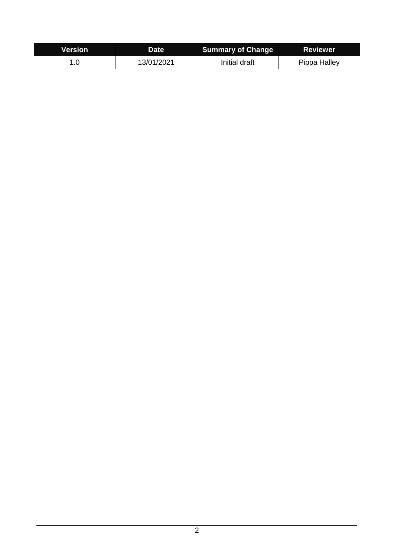| <b>Version</b> | <b>Date</b> | <b>Summary of Change</b> | <b>Reviewer</b> |
|----------------|-------------|--------------------------|-----------------|
|                | 13/01/2021  | Initial draft            | Pippa Halley    |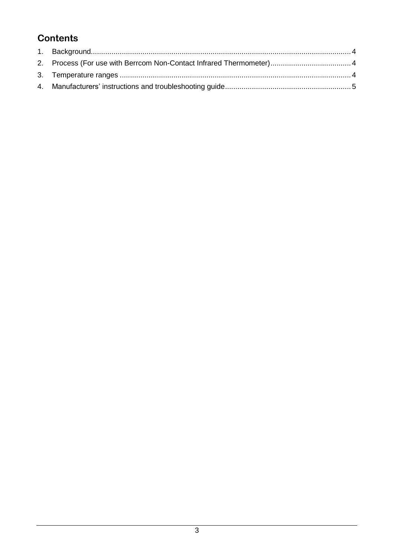# **Contents**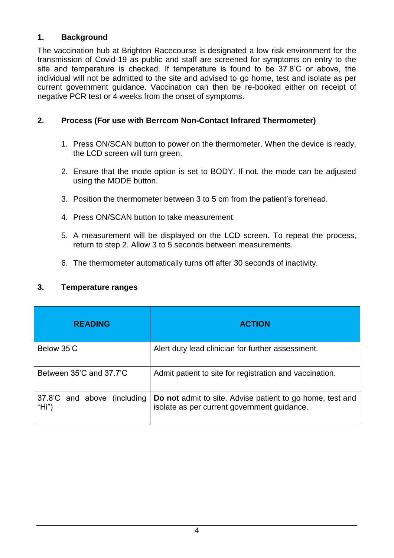## <span id="page-3-0"></span>**1. Background**

The vaccination hub at Brighton Racecourse is designated a low risk environment for the transmission of Covid-19 as public and staff are screened for symptoms on entry to the site and temperature is checked. If temperature is found to be 37.8'C or above, the individual will not be admitted to the site and advised to go home, test and isolate as per current government guidance. Vaccination can then be re-booked either on receipt of negative PCR test or 4 weeks from the onset of symptoms.

## <span id="page-3-1"></span>**2. Process (For use with Berrcom Non-Contact Infrared Thermometer)**

- 1. Press ON/SCAN button to power on the thermometer. When the device is ready, the LCD screen will turn green.
- 2. Ensure that the mode option is set to BODY. If not, the mode can be adjusted using the MODE button.
- 3. Position the thermometer between 3 to 5 cm from the patient's forehead.
- 4. Press ON/SCAN button to take measurement.
- 5. A measurement will be displayed on the LCD screen. To repeat the process, return to step 2. Allow 3 to 5 seconds between measurements.
- 6. The thermometer automatically turns off after 30 seconds of inactivity.

## <span id="page-3-2"></span>**3. Temperature ranges**

| <b>READING</b>                       | <b>ACTION</b>                                                                                                   |
|--------------------------------------|-----------------------------------------------------------------------------------------------------------------|
| Below 35'C                           | Alert duty lead clinician for further assessment.                                                               |
| Between 35'C and 37.7'C              | Admit patient to site for registration and vaccination.                                                         |
| 37.8°C and above (including<br>"Hi") | <b>Do not</b> admit to site. Advise patient to go home, test and<br>isolate as per current government guidance. |